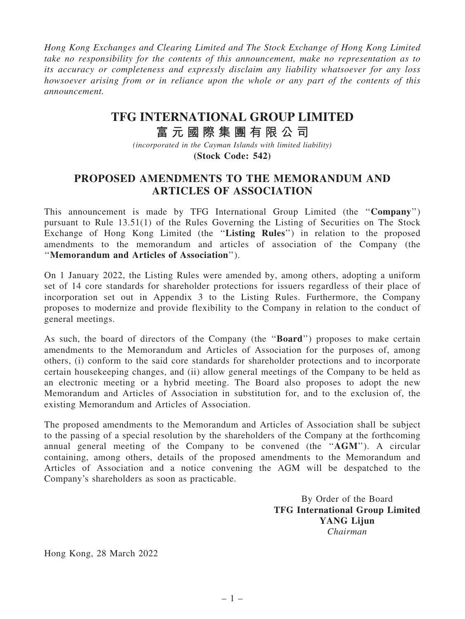Hong Kong Exchanges and Clearing Limited and The Stock Exchange of Hong Kong Limited take no responsibility for the contents of this announcement, make no representation as to its accuracy or completeness and expressly disclaim any liability whatsoever for any loss howsoever arising from or in reliance upon the whole or any part of the contents of this announcement.

## **TFG INTERNATIONAL GROUP LIMITED**

## **富 元 國 際 集 團 有 限 公 司**

*(incorporated in the Cayman Islands with limited liability)* **(Stock Code: 542)**

## PROPOSED AMENDMENTS TO THE MEMORANDUM AND ARTICLES OF ASSOCIATION

This announcement is made by TFG International Group Limited (the "Company") pursuant to Rule 13.51(1) of the Rules Governing the Listing of Securities on The Stock Exchange of Hong Kong Limited (the "Listing Rules") in relation to the proposed amendments to the memorandum and articles of association of the Company (the ''Memorandum and Articles of Association'').

On 1 January 2022, the Listing Rules were amended by, among others, adopting a uniform set of 14 core standards for shareholder protections for issuers regardless of their place of incorporation set out in Appendix 3 to the Listing Rules. Furthermore, the Company proposes to modernize and provide flexibility to the Company in relation to the conduct of general meetings.

As such, the board of directors of the Company (the "**Board**") proposes to make certain amendments to the Memorandum and Articles of Association for the purposes of, among others, (i) conform to the said core standards for shareholder protections and to incorporate certain housekeeping changes, and (ii) allow general meetings of the Company to be held as an electronic meeting or a hybrid meeting. The Board also proposes to adopt the new Memorandum and Articles of Association in substitution for, and to the exclusion of, the existing Memorandum and Articles of Association.

The proposed amendments to the Memorandum and Articles of Association shall be subject to the passing of a special resolution by the shareholders of the Company at the forthcoming annual general meeting of the Company to be convened (the ''AGM''). A circular containing, among others, details of the proposed amendments to the Memorandum and Articles of Association and a notice convening the AGM will be despatched to the Company's shareholders as soon as practicable.

> By Order of the Board TFG International Group Limited YANG Lijun Chairman

Hong Kong, 28 March 2022